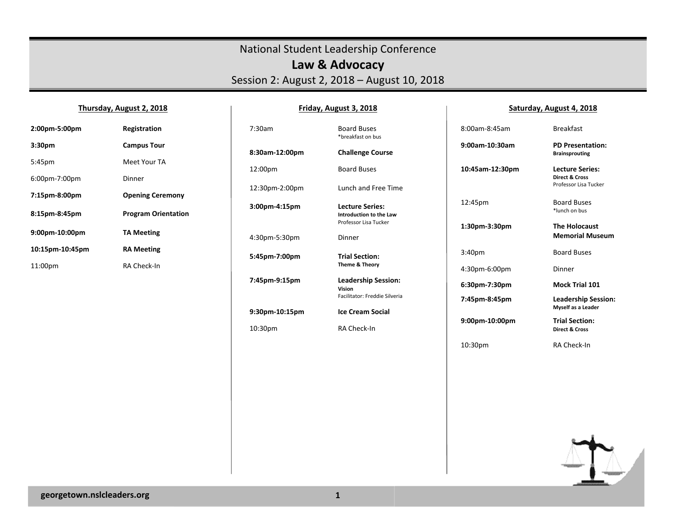## National Student Leadership Conference **Law & Advocacy**  Session 2: August 2, 2018 – August 10, 2018

**Friday, August 3, 2018** 

#### **Thursday, August 2, 2018**

# **2:00pm-5:00pm Registration 3:30pm Campus Tour**  5:45pm Meet Your TA 6:00pm-7:00pm Dinner **7:15pm-8:00pm Opening Ceremony 8:15pm-8:45pm Program Orientation 9:00pm-10:00pm TA Meeting 10:15pm-10:45pm RA Meeting**  11:00pm RA Check-In

| 7:30am         | <b>Board Buses</b><br>*breakfast on b               |
|----------------|-----------------------------------------------------|
| 8:30am-12:00pm | Challenge Co                                        |
| 12:00pm        | <b>Board Buses</b>                                  |
| 12:30pm-2:00pm | Lunch and F                                         |
| 3:00pm-4:15pm  | Lecture Seri<br>Introduction to<br>Professor Lisa T |
| 4:30pm-5:30pm  | Dinner                                              |
| 5:45pm-7:00pm  | <b>Trial Section</b><br><b>Theme &amp; Theor</b>    |
| 7:45pm-9:15pm  | <b>Leadership</b> 9<br>Vision<br>Facilitator: Fred  |
| 9:30pm-10:15pm | Ice Cream So                                        |
| 10:30pm        | RA Check-In                                         |

# d Buses kfast on bus **8** Course rd Buses th and Free Time **3:00pm-4:15pm Lecture Series: Introduction to the Law** Professor Lisa Tucker Section: **Theme & Theory Pership Session:**  Facilitator: Freddie Silveria **Pream Social**

8:00an

**Saturday, August 4, 2018** 

| 8:00am-8:45am      | <b>Rreakfast</b>                                                      |
|--------------------|-----------------------------------------------------------------------|
| $9:00$ am-10:30am  | <b>PD Presentation:</b><br><b>Brainsprouting</b>                      |
| 10:45am-12:30pm    | Lecture Series:<br><b>Direct &amp; Cross</b><br>Professor Lisa Tucker |
| 12:45pm            | <b>Board Buses</b><br>*lunch on hus                                   |
| 1:30pm-3:30pm      | <b>The Holocaust</b><br><b>Memorial Museum</b>                        |
| 3:40 <sub>pm</sub> | <b>Board Buses</b>                                                    |
| 4:30pm-6:00pm      | Dinner                                                                |
| 6:30pm-7:30pm      | Mock Trial 101                                                        |
|                    |                                                                       |
| 7:45pm-8:45pm      | <b>Leadership Session:</b><br><b>Myself as a Leader</b>               |

10:30pm RA Check-In

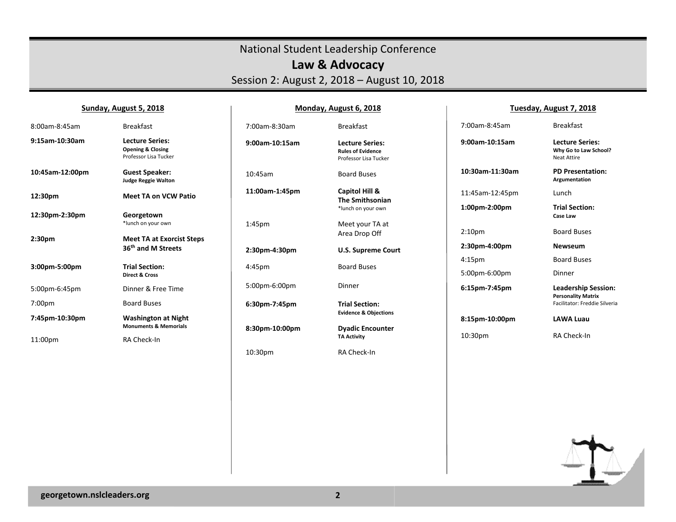## National Student Leadership Conference **Law & Advocacy**  Session 2: August 2, 2018 – August 10, 2018

## **Sunday, August 5, 2018**

## **Monday, August 6, 2018**

## **Tuesday, August 7, 2018**

| 8:00am-8:45am      | <b>Breakfast</b>                                                                | 7:00am-8:30am      | <b>Breakfast</b>                                                            | 7:00am-8:45am                       | <b>Breakfast</b>                                                      |
|--------------------|---------------------------------------------------------------------------------|--------------------|-----------------------------------------------------------------------------|-------------------------------------|-----------------------------------------------------------------------|
| 9:15am-10:30am     | <b>Lecture Series:</b><br><b>Opening &amp; Closing</b><br>Professor Lisa Tucker | 9:00am-10:15am     | <b>Lecture Series:</b><br><b>Rules of Evidence</b><br>Professor Lisa Tucker | 9:00am-10:15am                      | <b>Lecture Series:</b><br>Why Go to Law School?<br><b>Neat Attire</b> |
| 10:45am-12:00pm    | <b>Guest Speaker:</b><br><b>Judge Reggie Walton</b>                             | 10:45am            | <b>Board Buses</b>                                                          | 10:30am-11:30am                     | <b>PD Presentation:</b><br>Argumentation                              |
| 12:30pm            | <b>Meet TA on VCW Patio</b>                                                     | 11:00am-1:45pm     | Capitol Hill &<br><b>The Smithsonian</b>                                    | 11:45am-12:45pm                     | Lunch                                                                 |
| 12:30pm-2:30pm     | Georgetown                                                                      |                    | *lunch on your own                                                          | 1:00pm-2:00pm                       | <b>Trial Section:</b><br>Case Law                                     |
|                    | *lunch on your own                                                              | 1:45 <sub>pm</sub> | Meet your TA at<br>Area Drop Off                                            | 2:10 <sub>pm</sub>                  | <b>Board Buses</b>                                                    |
| 2:30pm             | <b>Meet TA at Exorcist Steps</b>                                                |                    |                                                                             |                                     |                                                                       |
|                    |                                                                                 |                    |                                                                             |                                     | <b>Newseum</b>                                                        |
|                    | 36 <sup>th</sup> and M Streets                                                  | 2:30pm-4:30pm      | <b>U.S. Supreme Court</b>                                                   | 2:30pm-4:00pm                       |                                                                       |
| 3:00pm-5:00pm      | <b>Trial Section:</b><br><b>Direct &amp; Cross</b>                              | 4:45pm             | <b>Board Buses</b>                                                          | 4:15 <sub>pm</sub><br>5:00pm-6:00pm | <b>Board Buses</b><br>Dinner                                          |
| 5:00pm-6:45pm      | Dinner & Free Time                                                              | 5:00pm-6:00pm      | Dinner                                                                      | 6:15pm-7:45pm                       | <b>Leadership Session:</b>                                            |
| 7:00 <sub>pm</sub> | <b>Board Buses</b>                                                              | 6:30pm-7:45pm      | <b>Trial Section:</b>                                                       |                                     | <b>Personality Matrix</b><br>Facilitator: Freddie Silveria            |
| 7:45pm-10:30pm     | <b>Washington at Night</b>                                                      |                    | <b>Evidence &amp; Objections</b>                                            | 8:15pm-10:00pm                      | <b>LAWA Luau</b>                                                      |
| 11:00pm            | <b>Monuments &amp; Memorials</b><br>RA Check-In                                 | 8:30pm-10:00pm     | <b>Dyadic Encounter</b><br><b>TA Activity</b>                               | 10:30pm                             | RA Check-In                                                           |

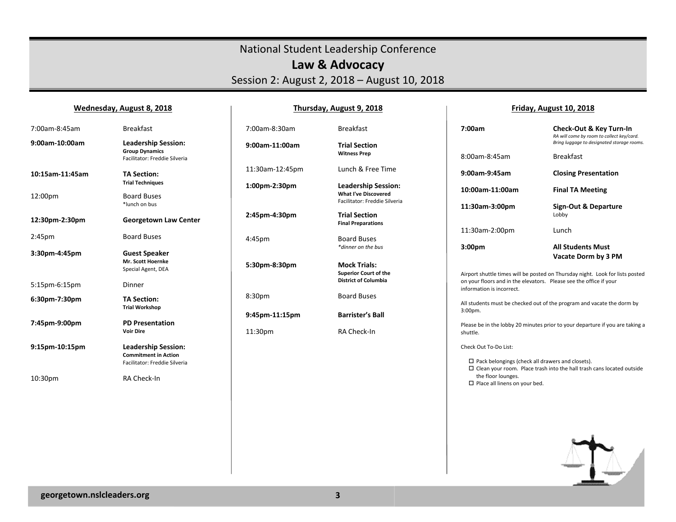# National Student Leadership Conference **Law & Advocacy**  Session 2: August 2, 2018 – August 10, 2018

### **Wednesday, August 8, 2018**

## **Thursday, August 9, 2018**

### **Friday, August 10, 2018**

| 7:00am-8:45am   | <b>Breakfast</b>                                                                     | 7:00am-8:30am   | <b>Breakfast</b>                                          | 7:00am                                                                                          | <b>Check-Out &amp; Key Turn-In</b><br>RA will come by room to collect key/card. |
|-----------------|--------------------------------------------------------------------------------------|-----------------|-----------------------------------------------------------|-------------------------------------------------------------------------------------------------|---------------------------------------------------------------------------------|
| 9:00am-10:00am  | <b>Leadership Session:</b><br><b>Group Dynamics</b><br>Facilitator: Freddie Silveria | 9:00am-11:00am  | <b>Trial Section</b><br><b>Witness Prep</b>               | 8:00am-8:45am                                                                                   | Bring luggage to designated storage rooms.<br><b>Breakfast</b>                  |
| 10:15am-11:45am | <b>TA Section:</b>                                                                   | 11:30am-12:45pm | Lunch & Free Time                                         | 9:00am-9:45am                                                                                   | <b>Closing Presentation</b>                                                     |
| 12:00pm         | <b>Trial Techniques</b><br><b>Board Buses</b>                                        | 1:00pm-2:30pm   | <b>Leadership Session:</b><br><b>What I've Discovered</b> | 10:00am-11:00am                                                                                 | <b>Final TA Meeting</b>                                                         |
|                 | *lunch on bus                                                                        |                 | Facilitator: Freddie Silveria                             | 11:30am-3:00pm                                                                                  | <b>Sign-Out &amp; Departure</b>                                                 |
| 12:30pm-2:30pm  | <b>Georgetown Law Center</b>                                                         | 2:45pm-4:30pm   | <b>Trial Section</b><br><b>Final Preparations</b>         |                                                                                                 | Lobby                                                                           |
| 2:45pm          | <b>Board Buses</b>                                                                   | 4:45pm          | <b>Board Buses</b>                                        | 11:30am-2:00pm                                                                                  | Lunch                                                                           |
| 3:30pm-4:45pm   | <b>Guest Speaker</b>                                                                 |                 | *dinner on the bus                                        | 3:00 <sub>pm</sub>                                                                              | <b>All Students Must</b><br>Vacate Dorm by 3 PM                                 |
|                 | Mr. Scott Hoernke<br>Special Agent, DEA                                              | 5:30pm-8:30pm   | <b>Mock Trials:</b><br><b>Superior Court of the</b>       |                                                                                                 | Airport shuttle times will be posted on Thursday night. Look for lists posted   |
| 5:15pm-6:15pm   | Dinner                                                                               |                 | <b>District of Columbia</b>                               | on your floors and in the elevators. Please see the office if your<br>information is incorrect. |                                                                                 |
| 6:30pm-7:30pm   | <b>TA Section:</b><br><b>Trial Workshop</b>                                          | 8:30pm          | <b>Board Buses</b>                                        |                                                                                                 | All students must be checked out of the program and vacate the dorm by          |
| 7:45pm-9:00pm   | <b>PD Presentation</b>                                                               | 9:45pm-11:15pm  | <b>Barrister's Ball</b>                                   | $3:00pm$ .                                                                                      |                                                                                 |
|                 | <b>Voir Dire</b>                                                                     | 11:30pm         | RA Check-In                                               | shuttle.                                                                                        | Please be in the lobby 20 minutes prior to your departure if you are taking a   |
| 9:15pm-10:15pm  | <b>Leadership Session:</b><br><b>Commitment in Action</b>                            |                 |                                                           | Check Out To-Do List:                                                                           |                                                                                 |
|                 | Facilitator: Freddie Silveria                                                        |                 |                                                           | $\Box$ Pack belongings (check all drawers and closets).                                         | $\Box$ Clean your room. Place trash into the hall trash cans located outside    |
| 10:30pm         | RA Check-In                                                                          |                 |                                                           | the floor lounges.<br>$\Box$ Place all linens on your bed.                                      |                                                                                 |
|                 |                                                                                      |                 |                                                           |                                                                                                 |                                                                                 |
|                 |                                                                                      |                 |                                                           |                                                                                                 |                                                                                 |
|                 |                                                                                      |                 |                                                           |                                                                                                 |                                                                                 |
|                 |                                                                                      |                 |                                                           |                                                                                                 |                                                                                 |